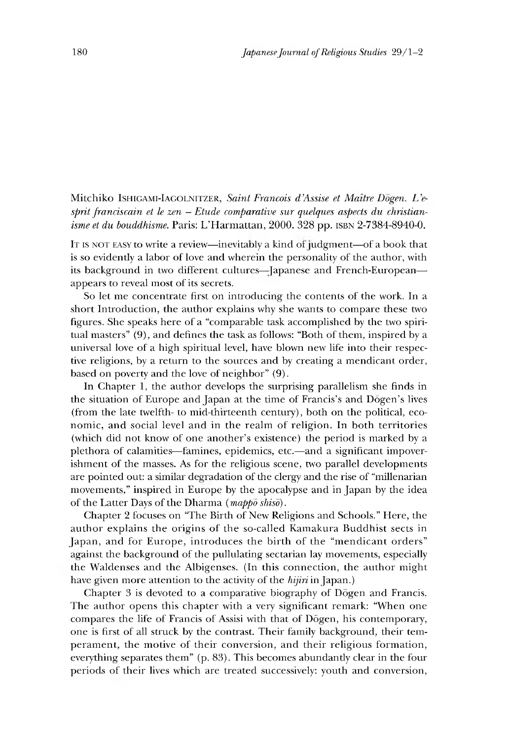Mitchiko Ishigam-Iagolnitzer, Saint Francois d'Assise et Maître Dogen. L'esprit franciscain et le zen – Etude comparative sur quelques aspects du christian*isme et du bouddhisme*. Paris: L'Harmattan, 2000. 328 pp. ISBN 2-7384-8940-0.

IT IS NOT EASY to write a review—inevitably a kind of judgment—of a book that is so evidently a labor of love and wherein the personality of the author, with its background in two different cultures-Japanese and French-Europeanappears to reveal most of its secrets.

So let me concentrate first on introducing the contents of the work. In a short Introduction, the author explains why she wants to compare these two figures. She speaks here of a "comparable task accomplished by the two spiritual masters"  $(9)$ , and defines the task as follows: "Both of them, inspired by a universal love of a high spiritual level, have blown new life into their respective religions, by a return to the sources and by creating a mendicant order, based on poverty and the love of neighbor" (9).

In Chapter 1, the author develops the surprising parallelism she finds in the situation of Europe and Japan at the time of Francis's and Dōgen's lives (from the late twelfth- to mid-thirteenth century), both on the political, economic, and social level and in the realm of religion. In both territories (which did not know of one another's existence) the period is marked by a plethora of calamities—famines, epidemics, etc.—and a significant impoverishment of the masses. As for the religious scene, two parallel developments are pointed out: a similar degradation of the clergy and the rise of "millenarian movements," inspired in Europe by the apocalypse and in Japan by the idea of the Latter Days of the Dharma (*mappo shiso*).

Chapter 2 focuses on "The Birth of New Religions and Schools." Here, the author explains the origins of the so-called Kamakura Buddhist sects in Japan, and for Europe, introduces the birth of the "mendicant orders" against the background of the pullulating sectarian lay movements, especially the Waldenses and the Albigenses. (In this connection, the author might have given more attention to the activity of the *hijiri* in Japan.)

Chapter 3 is devoted to a comparative biography of Dogen and Francis. The author opens this chapter with a very significant remark: "When one compares the life of Francis of Assisi with that of Dogen, his contemporary, one is first of all struck by the contrast. Their family background, their temperament, the motive of their conversion, and their religious formation, everything separates them" (p. 83). This becomes abundantly clear in the four periods of their lives which are treated successively: youth and conversion,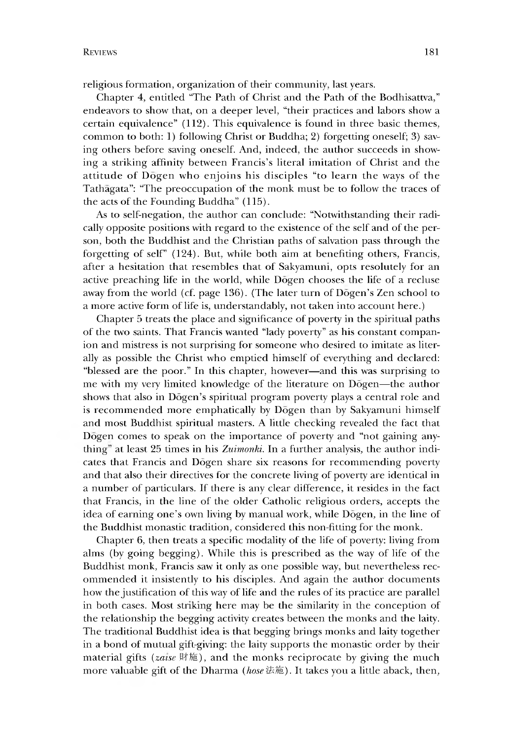religious formation, organization of their community, last years.

Chapter 4, entitled "The Path of Christ and the Path of the Bodhisattva," endeavors to show that, on a deeper level, "their practices and labors show a certain equivalence" (112). This equivalence is found in three basic themes, common to both: 1) following Christ or Buddha; 2) forgetting oneself; 3) saving others before saving oneself. And, indeed, the author succeeds in showing a striking affinity between Francis's literal imitation of Christ and the attitude of Dogen who enjoins his disciples "to learn the ways of the Tathagata": "The preoccupation of the monk must be to follow the traces of the acts of the Founding Buddha" (115).

As to self-negation, the author can conclude: "Notwithstanding their radically opposite positions with regard to the existence of the self and of the person, both the Buddhist and the Christian paths of salvation pass through the forgetting of self" (124). But, while both aim at benefiting others, Francis, after a hesitation that resembles that of Sakyamuni, opts resolutely for an active preaching life in the world, while Dogen chooses the life of a recluse away from the world (cf. page 136). (The later turn of Dogen's Zen school to a more active form of life is, understandably, not taken into account here.)

Chapter 5 treats the place and significance of poverty in the spiritual paths of the two saints. That Francis wanted "lady poverty" as his constant companion and mistress is not surprising for someone who desired to imitate as literally as possible the Christ who emptied himself of everything and declared: "blessed are the poor." In this chapter, however—and this was surprising to me with my very limited knowledge of the literature on Dogen— the author shows that also in Dōgen's spiritual program poverty plays a central role and is recommended more emphatically by Dogen than by Sakyamuni himself and most Buddhist spiritual masters. A little checking revealed the fact that Dogen comes to speak on the importance of poverty and "not gaining anything" at least 25 times in his *Zuimonki*. In a further analysis, the author indicates that Francis and Dogen share six reasons for recommending poverty and that also their directives for the concrete living of poverty are identical in a number of particulars. If there is any clear difference, it resides in the fact that Francis, in the line of the older Catholic religious orders, accepts the idea of earning one's own living by manual work, while Dogen, in the line of the Buddhist monastic tradition, considered this non-fitting for the monk.

Chapter 6, then treats a specific modality of the life of poverty: living from alms (by going begging). While this is prescribed as the way of life of the Buddhist monk, Francis saw it only as one possible way, but nevertheless recommended it insistently to his disciples. And again the author documents how the justification of this way of life and the rules of its practice are parallel in both cases. Most striking here may be the similarity in the conception of the relationship the begging activity creates between the monks and the laity. The traditional Buddhist idea is that begging brings monks and laity together in a bond of mutual gift-giving: the laity supports the monastic order by their material gifts (*zaise* 財施), and the monks reciprocate by giving the much more valuable gift of the Dharma *(hose* 法施). It takes you a little aback, then,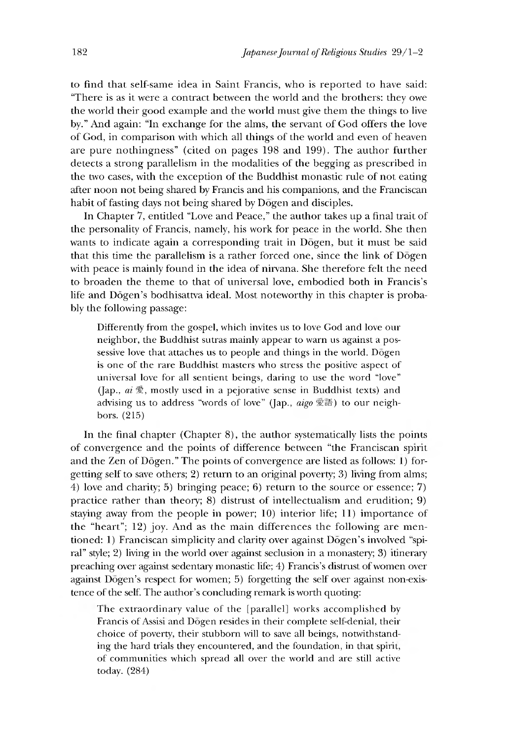to find that self-same idea in Saint Francis, who is reported to have said: "There is as it were a contract between the world and the brothers: they owe the world their good example and the world must give them the things to live by." And again: "In exchange for the alms, the servant of God offers the love of God, in comparison with which all things of the world and even of heaven are pure nothingness" (cited on pages 198 and 199). The author further detects a strong parallelism in the modalities of the begging as prescribed in the two cases, with the exception of the Buddhist monastic rule of not eating after noon not being shared by Francis and his companions, and the Franciscan habit of fasting days not being shared by Dogen and disciples.

In Chapter 7, entitled "Love and Peace," the author takes up a final trait of the personality of Francis, namely, his work for peace in the world. She then wants to indicate again a corresponding trait in Dogen, but it must be said that this time the parallelism is a rather forced one, since the link of  $D\bar{o}$ gen with peace is mainly found in the idea of nirvana. She therefore felt the need to broaden the theme to that of universal love, embodied both in Francis's life and Dōgen's bodhisattva ideal. Most noteworthy in this chapter is probably the following passage:

Differently from the gospel, which invites us to love God and love our neighbor, the Buddhist sutras mainly appear to warn us against a possessive love that attaches us to people and things in the world. Dogen is one of the rare Buddhist masters who stress the positive aspect of universal love for all sentient beings, daring to use the word "love" (Jap., *ai*  $\mathcal{L}$ , mostly used in a pejorative sense in Buddhist texts) and advising us to address "words of love" (Jap., *aigo* 愛語) to our neighbors. (215)

In the final chapter (Chapter  $8$ ), the author systematically lists the points of convergence and the points of difference between "the Franciscan spirit and the Zen of Dōgen." The points of convergence are listed as follows: 1) forgetting self to save others; 2) return to an original poverty; 3) living from alms; 4 )love and charity; 5) bringing peace; 6) return to the source or essence; 7) practice rather than theory; 8) distrust of intellectualism and erudition; 9) staying away from the people in power;  $10$ ) interior life;  $11$ ) importance of the "heart";  $12$ ) joy. And as the main differences the following are mentioned: 1) Franciscan simplicity and clarity over against Dogen's involved "spiral" style; 2) living in the world over against seclusion in a monastery; 3) itinerary preaching over against sedentary monastic life; 4) Francis's distrust of women over against Dogen's respect for women; 5) forgetting the self over against non-existence of the self. The author's concluding remark is worth quoting:

The extraordinary value of the [parallel] works accomplished by Francis of Assisi and Dogen resides in their complete self-denial, their choice of poverty, their stubborn will to save all beings, notwithstanding the hard trials they encountered, and the foundation, in that spirit, of communities which spread all over the world and are still active today. (284)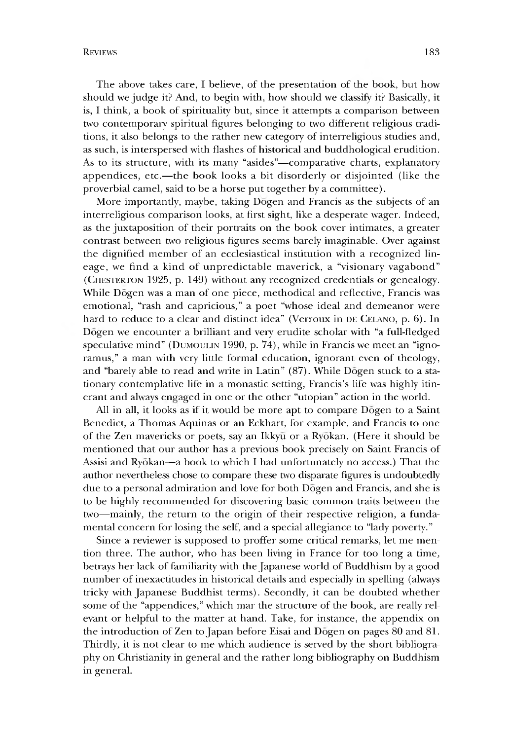The above takes care, I believe, of the presentation of the book, but how should we judge it? And, to begin with, how should we classify it? Basically, it is, I think, a book of spirituality but, since it attempts a comparison between two contemporary spiritual figures belonging to two different religious traditions, it also belongs to the rather new category of interreligious studies and, as such, is interspersed with flashes of historical and buddhological erudition. As to its structure, with its many "asides"-comparative charts, explanatory appendices, etc.— the book looks a bit disorderly or disjointed (like the proverbial camel, said to be a horse put together by a committee).

More importantly, maybe, taking Dogen and Francis as the subjects of an interreligious comparison looks, at first sight, like a desperate wager. Indeed, as the juxtaposition of their portraits on the book cover intimates, a greater contrast between two religious figures seems barely imaginable. Over against the dignified member of an ecclesiastical institution with a recognized lineage, we find a kind of unpredictable maverick, a "visionary vagabond" (CHESTERTON 1925, p. 149) without any recognized credentials or genealogy. While Dogen was a man of one piece, methodical and reflective, Francis was emotional, "rash and capricious," a poet "whose ideal and demeanor were hard to reduce to a clear and distinct idea" (Verroux in DE CELANO, p. 6). In Dogen we encounter a brilliant and very erudite scholar with "a full-fledged speculative mind" (DUMOULIN 1990, p. 74), while in Francis we meet an "ignoramus," a man with very little formal education, ignorant even of theology, and "barely able to read and write in Latin" (87). While Dogen stuck to a stationary contemplative life in a monastic setting, Francis's life was highly itinerant and always engaged in one or the other "utopian" action in the world.

All in all, it looks as if it would be more apt to compare Dogen to a Saint Benedict, a Thomas Aquinas or an Eckhart, for example, and Francis to one of the Zen mavericks or poets, say an Ikkyu or a Ryokan. (Here it should be mentioned that our author has a previous book precisely on Saint Francis of Assisi and Ryokan—a book to which I had unfortunately no access.) That the author nevertheless chose to compare these two disparate figures is undoubtedly due to a personal admiration and love for both Dogen and Francis, and she is to be highly recommended for discovering basic common traits between the two—mainly, the return to the origin of their respective religion, a fundamental concern for losing the self, and a special allegiance to "lady poverty."

Since a reviewer is supposed to proffer some critical remarks, let me mention three. The author, who has been living in France for too long a time, betrays her lack of familiarity with the Japanese world of Buddhism by a good number of inexactitudes in historical details and especially in spelling (always tricky with Japanese Buddhist terms). Secondly, it can be doubted whether some of the "appendices," which mar the structure of the book, are really relevant or helpful to the matter at hand. Take, for instance, the appendix on the introduction of Zen to Japan before Eisai and Dogen on pages 80 and 81. Thirdly, it is not clear to me which audience is served by the short bibliography on Christianity in general and the rather long bibliography on Buddhism in general.